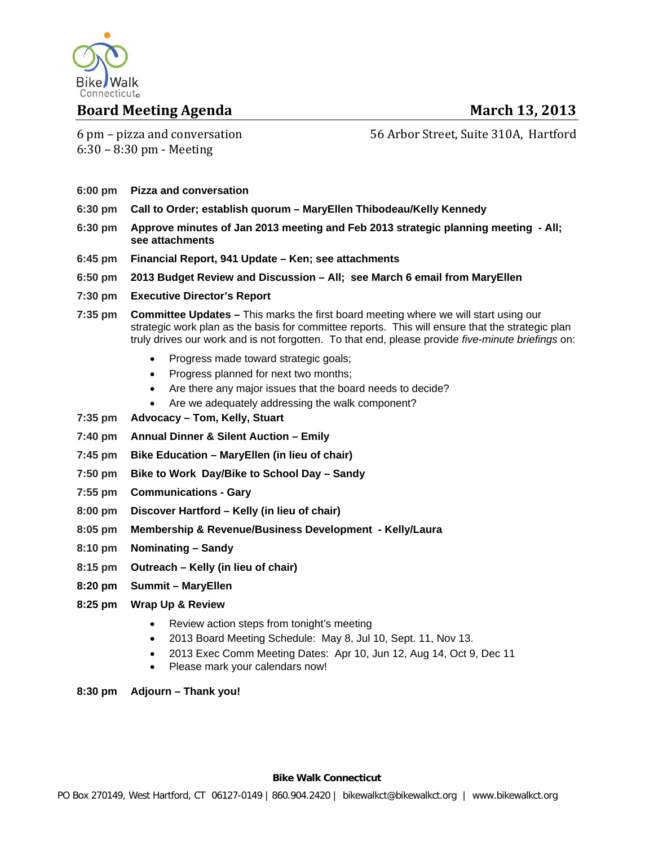

### **Board Meeting Agenda March 13, 2013**

6 pm – pizza and conversation  $6:30 - 8:30$  pm - Meeting

56 Arbor Street, Suite 310A, Hartford

- **6:00 pm Pizza and conversation**
- **6:30 pm Call to Order; establish quorum MaryEllen Thibodeau/Kelly Kennedy**
- **6:30 pm Approve minutes of Jan 2013 meeting and Feb 2013 strategic planning meeting All; see attachments**
- **6:45 pm Financial Report, 941 Update Ken; see attachments**
- **6:50 pm 2013 Budget Review and Discussion All; see March 6 email from MaryEllen**
- **7:30 pm Executive Director's Report**
- **7:35 pm Committee Updates** This marks the first board meeting where we will start using our strategic work plan as the basis for committee reports. This will ensure that the strategic plan truly drives our work and is not forgotten. To that end, please provide *five-minute briefings* on:
	- Progress made toward strategic goals;
	- Progress planned for next two months;
	- Are there any major issues that the board needs to decide?
	- Are we adequately addressing the walk component?
- **7:35 pm Advocacy Tom, Kelly, Stuart**
- **7:40 pm Annual Dinner & Silent Auction Emily**
- **7:45 pm Bike Education MaryEllen (in lieu of chair)**
- **7:50 pm Bike to Work Day/Bike to School Day Sandy**
- **7:55 pm Communications Gary**
- **8:00 pm Discover Hartford Kelly (in lieu of chair)**
- **8:05 pm Membership & Revenue/Business Development Kelly/Laura**
- **8:10 pm Nominating Sandy**
- **8:15 pm Outreach Kelly (in lieu of chair)**
- **8:20 pm Summit MaryEllen**
- **8:25 pm Wrap Up & Review** 
	- Review action steps from tonight's meeting
	- 2013 Board Meeting Schedule: May 8, Jul 10, Sept. 11, Nov 13.
	- 2013 Exec Comm Meeting Dates: Apr 10, Jun 12, Aug 14, Oct 9, Dec 11
	- Please mark your calendars now!
- **8:30 pm Adjourn Thank you!**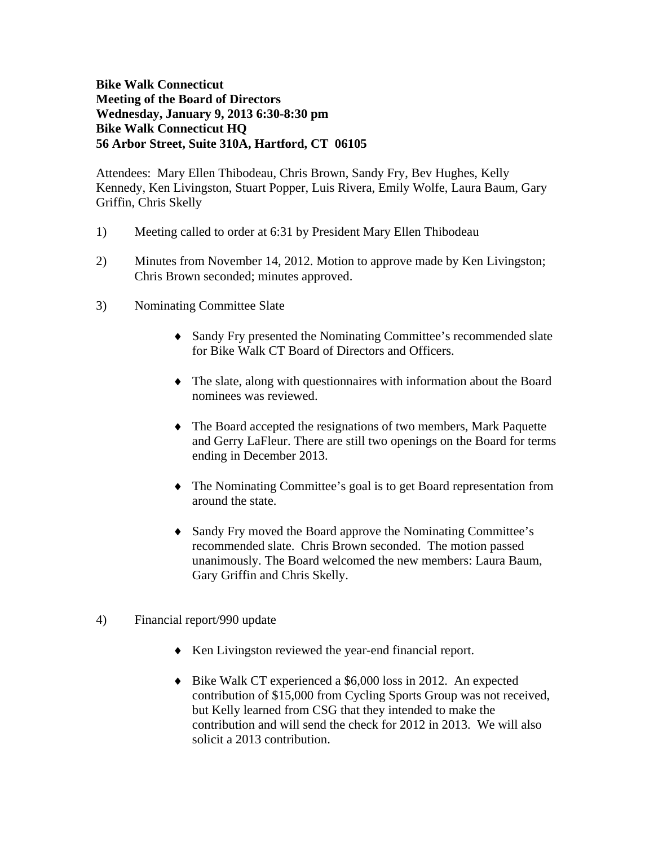### **Bike Walk Connecticut Meeting of the Board of Directors Wednesday, January 9, 2013 6:30-8:30 pm Bike Walk Connecticut HQ 56 Arbor Street, Suite 310A, Hartford, CT 06105**

Attendees: Mary Ellen Thibodeau, Chris Brown, Sandy Fry, Bev Hughes, Kelly Kennedy, Ken Livingston, Stuart Popper, Luis Rivera, Emily Wolfe, Laura Baum, Gary Griffin, Chris Skelly

- 1) Meeting called to order at 6:31 by President Mary Ellen Thibodeau
- 2) Minutes from November 14, 2012. Motion to approve made by Ken Livingston; Chris Brown seconded; minutes approved.
- 3) Nominating Committee Slate
	- Sandy Fry presented the Nominating Committee's recommended slate for Bike Walk CT Board of Directors and Officers.
	- The slate, along with questionnaires with information about the Board nominees was reviewed.
	- The Board accepted the resignations of two members, Mark Paquette and Gerry LaFleur. There are still two openings on the Board for terms ending in December 2013.
	- The Nominating Committee's goal is to get Board representation from around the state.
	- Sandy Fry moved the Board approve the Nominating Committee's recommended slate. Chris Brown seconded. The motion passed unanimously. The Board welcomed the new members: Laura Baum, Gary Griffin and Chris Skelly.
- 4) Financial report/990 update
	- Ken Livingston reviewed the year-end financial report.
	- Bike Walk CT experienced a \$6,000 loss in 2012. An expected contribution of \$15,000 from Cycling Sports Group was not received, but Kelly learned from CSG that they intended to make the contribution and will send the check for 2012 in 2013. We will also solicit a 2013 contribution.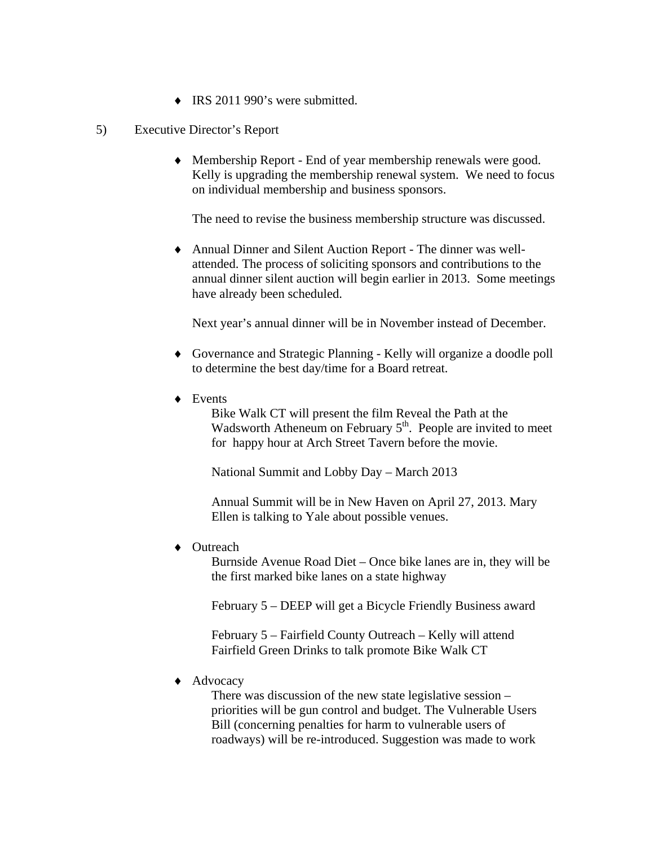- $\bullet$  IRS 2011 990's were submitted.
- 5) Executive Director's Report
	- Membership Report End of year membership renewals were good. Kelly is upgrading the membership renewal system. We need to focus on individual membership and business sponsors.

The need to revise the business membership structure was discussed.

 Annual Dinner and Silent Auction Report - The dinner was wellattended. The process of soliciting sponsors and contributions to the annual dinner silent auction will begin earlier in 2013. Some meetings have already been scheduled.

Next year's annual dinner will be in November instead of December.

- Governance and Strategic Planning Kelly will organize a doodle poll to determine the best day/time for a Board retreat.
- ◆ Events

 Bike Walk CT will present the film Reveal the Path at the Wadsworth Atheneum on February  $5<sup>th</sup>$ . People are invited to meet for happy hour at Arch Street Tavern before the movie.

National Summit and Lobby Day – March 2013

 Annual Summit will be in New Haven on April 27, 2013. Mary Ellen is talking to Yale about possible venues.

◆ Outreach

 Burnside Avenue Road Diet – Once bike lanes are in, they will be the first marked bike lanes on a state highway

February 5 – DEEP will get a Bicycle Friendly Business award

 February 5 – Fairfield County Outreach – Kelly will attend Fairfield Green Drinks to talk promote Bike Walk CT

◆ Advocacy

 There was discussion of the new state legislative session – priorities will be gun control and budget. The Vulnerable Users Bill (concerning penalties for harm to vulnerable users of roadways) will be re-introduced. Suggestion was made to work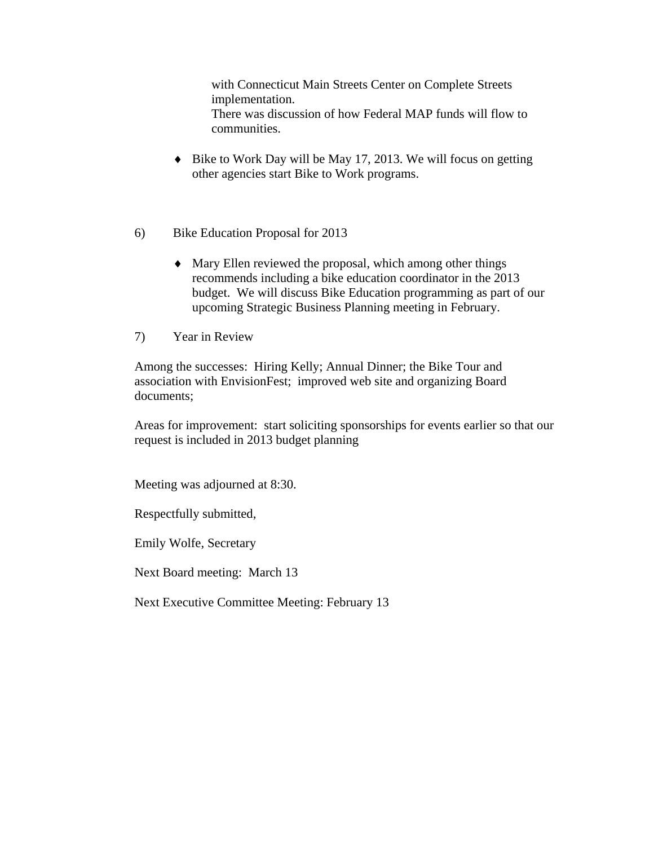with Connecticut Main Streets Center on Complete Streets implementation. There was discussion of how Federal MAP funds will flow to communities.

- $\bullet$  Bike to Work Day will be May 17, 2013. We will focus on getting other agencies start Bike to Work programs.
- 6) Bike Education Proposal for 2013
	- Mary Ellen reviewed the proposal, which among other things recommends including a bike education coordinator in the 2013 budget. We will discuss Bike Education programming as part of our upcoming Strategic Business Planning meeting in February.
- 7) Year in Review

Among the successes: Hiring Kelly; Annual Dinner; the Bike Tour and association with EnvisionFest; improved web site and organizing Board documents;

Areas for improvement: start soliciting sponsorships for events earlier so that our request is included in 2013 budget planning

Meeting was adjourned at 8:30.

Respectfully submitted,

Emily Wolfe, Secretary

Next Board meeting: March 13

Next Executive Committee Meeting: February 13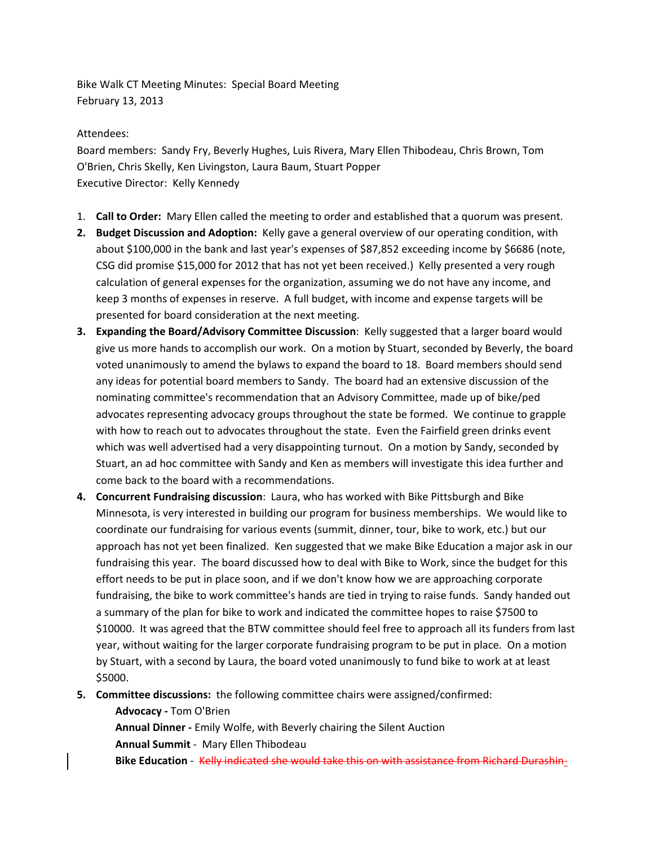Bike Walk CT Meeting Minutes: Special Board Meeting February 13, 2013

#### Attendees:

Board members: Sandy Fry, Beverly Hughes, Luis Rivera, Mary Ellen Thibodeau, Chris Brown, Tom O'Brien, Chris Skelly, Ken Livingston, Laura Baum, Stuart Popper Executive Director: Kelly Kennedy

- 1. **Call to Order:** Mary Ellen called the meeting to order and established that a quorum was present.
- **2. Budget Discussion and Adoption:** Kelly gave a general overview of our operating condition, with about \$100,000 in the bank and last year's expenses of \$87,852 exceeding income by \$6686 (note, CSG did promise \$15,000 for 2012 that has not yet been received.) Kelly presented a very rough calculation of general expenses for the organization, assuming we do not have any income, and keep 3 months of expenses in reserve. A full budget, with income and expense targets will be presented for board consideration at the next meeting.
- **3. Expanding the Board/Advisory Committee Discussion**: Kelly suggested that a larger board would give us more hands to accomplish our work. On a motion by Stuart, seconded by Beverly, the board voted unanimously to amend the bylaws to expand the board to 18. Board members should send any ideas for potential board members to Sandy. The board had an extensive discussion of the nominating committee's recommendation that an Advisory Committee, made up of bike/ped advocates representing advocacy groups throughout the state be formed. We continue to grapple with how to reach out to advocates throughout the state. Even the Fairfield green drinks event which was well advertised had a very disappointing turnout. On a motion by Sandy, seconded by Stuart, an ad hoc committee with Sandy and Ken as members will investigate this idea further and come back to the board with a recommendations.
- **4. Concurrent Fundraising discussion**: Laura, who has worked with Bike Pittsburgh and Bike Minnesota, is very interested in building our program for business memberships. We would like to coordinate our fundraising for various events (summit, dinner, tour, bike to work, etc.) but our approach has not yet been finalized. Ken suggested that we make Bike Education a major ask in our fundraising this year. The board discussed how to deal with Bike to Work, since the budget for this effort needs to be put in place soon, and if we don't know how we are approaching corporate fundraising, the bike to work committee's hands are tied in trying to raise funds. Sandy handed out a summary of the plan for bike to work and indicated the committee hopes to raise \$7500 to \$10000. It was agreed that the BTW committee should feel free to approach all its funders from last year, without waiting for the larger corporate fundraising program to be put in place. On a motion by Stuart, with a second by Laura, the board voted unanimously to fund bike to work at at least \$5000.

**5. Committee discussions:** the following committee chairs were assigned/confirmed: **Advocacy ‐** Tom O'Brien **Annual Dinner ‐** Emily Wolfe, with Beverly chairing the Silent Auction **Annual Summit** ‐ Mary Ellen Thibodeau **Bike Education** ‐ Kelly indicated she would take this on with assistance from Richard Durashin‐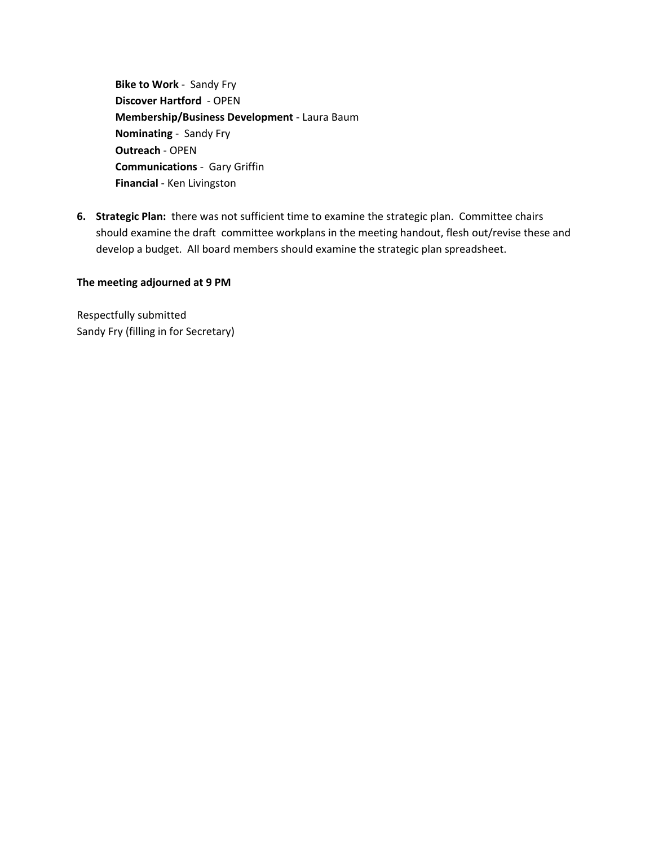**Bike to Work** ‐ Sandy Fry **Discover Hartford** ‐ OPEN **Membership/Business Development** ‐ Laura Baum **Nominating** ‐ Sandy Fry **Outreach** ‐ OPEN **Communications** ‐ Gary Griffin **Financial** ‐ Ken Livingston

**6.** Strategic Plan: there was not sufficient time to examine the strategic plan. Committee chairs should examine the draft committee workplans in the meeting handout, flesh out/revise these and develop a budget. All board members should examine the strategic plan spreadsheet.

#### **The meeting adjourned at 9 PM**

Respectfully submitted Sandy Fry (filling in for Secretary)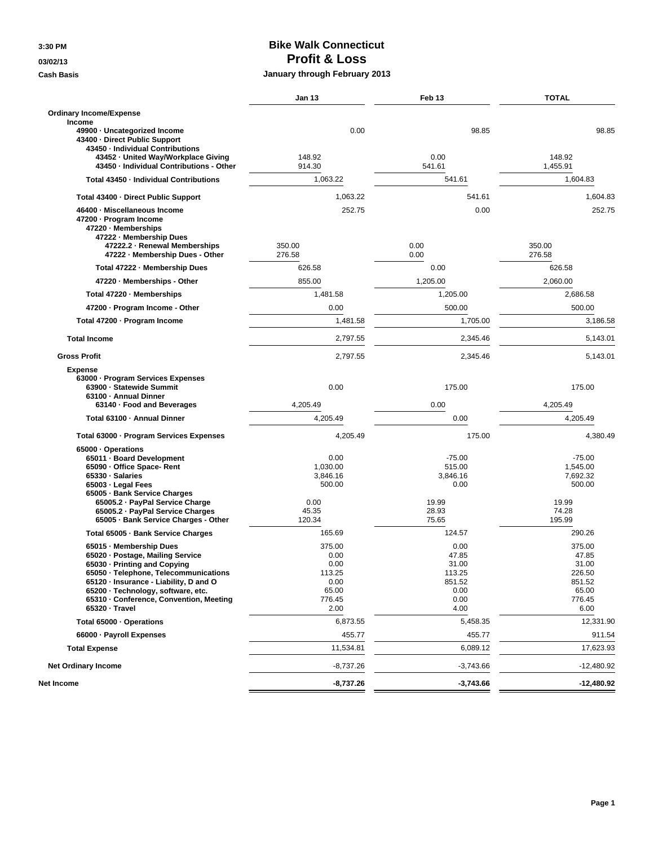### **3:30 PM Bike Walk Connecticut 03/02/13 Profit & Loss**

### **Cash Basis January through February 2013**

| <b>Ordinary Income/Expense</b><br>Income                                                                                                                                                                                                                                          |                                                                     |                                                                    |                                                                         |
|-----------------------------------------------------------------------------------------------------------------------------------------------------------------------------------------------------------------------------------------------------------------------------------|---------------------------------------------------------------------|--------------------------------------------------------------------|-------------------------------------------------------------------------|
| 49900 · Uncategorized Income<br>43400 - Direct Public Support<br>43450 - Individual Contributions                                                                                                                                                                                 | 0.00                                                                | 98.85                                                              | 98.85                                                                   |
| 43452 · United Way/Workplace Giving<br>43450 - Individual Contributions - Other                                                                                                                                                                                                   | 148.92<br>914.30                                                    | 0.00<br>541.61                                                     | 148.92<br>1,455.91                                                      |
| Total 43450 - Individual Contributions                                                                                                                                                                                                                                            | 1,063.22                                                            | 541.61                                                             | 1,604.83                                                                |
| Total 43400 - Direct Public Support                                                                                                                                                                                                                                               | 1,063.22                                                            | 541.61                                                             | 1,604.83                                                                |
| 46400 · Miscellaneous Income<br>47200 - Program Income<br>47220 - Memberships<br>47222 - Membership Dues<br>47222.2 · Renewal Memberships<br>47222 - Membership Dues - Other                                                                                                      | 252.75<br>350.00<br>276.58                                          | 0.00<br>0.00<br>0.00                                               | 252.75<br>350.00<br>276.58                                              |
| Total 47222 - Membership Dues                                                                                                                                                                                                                                                     | 626.58                                                              | 0.00                                                               | 626.58                                                                  |
| 47220 - Memberships - Other                                                                                                                                                                                                                                                       | 855.00                                                              | 1,205.00                                                           | 2,060.00                                                                |
| Total 47220 · Memberships                                                                                                                                                                                                                                                         | 1,481.58                                                            | 1,205.00                                                           | 2,686.58                                                                |
| 47200 - Program Income - Other                                                                                                                                                                                                                                                    | 0.00                                                                | 500.00                                                             | 500.00                                                                  |
| Total 47200 · Program Income                                                                                                                                                                                                                                                      | 1,481.58                                                            | 1,705.00                                                           | 3,186.58                                                                |
| <b>Total Income</b>                                                                                                                                                                                                                                                               | 2,797.55                                                            | 2,345.46                                                           | 5,143.01                                                                |
| <b>Gross Profit</b>                                                                                                                                                                                                                                                               | 2,797.55                                                            | 2,345.46                                                           | 5,143.01                                                                |
| <b>Expense</b><br>63000 · Program Services Expenses<br>63900 - Statewide Summit<br>63100 - Annual Dinner                                                                                                                                                                          | 0.00<br>4,205.49                                                    | 175.00<br>0.00                                                     | 175.00<br>4,205.49                                                      |
| 63140 · Food and Beverages                                                                                                                                                                                                                                                        | 4,205.49                                                            | 0.00                                                               | 4,205.49                                                                |
| Total 63100 - Annual Dinner                                                                                                                                                                                                                                                       |                                                                     |                                                                    |                                                                         |
| Total 63000 · Program Services Expenses                                                                                                                                                                                                                                           | 4,205.49                                                            | 175.00                                                             | 4,380.49                                                                |
| 65000 · Operations<br>65011 · Board Development<br>65090 · Office Space- Rent<br>65330 · Salaries<br>65003 · Legal Fees<br>65005 · Bank Service Charges<br>65005.2 · PayPal Service Charge<br>65005.2 · PayPal Service Charges<br>65005 · Bank Service Charges - Other            | 0.00<br>1,030.00<br>3,846.16<br>500.00<br>0.00<br>45.35<br>120.34   | $-75.00$<br>515.00<br>3,846.16<br>0.00<br>19.99<br>28.93<br>75.65  | $-75.00$<br>1,545.00<br>7,692.32<br>500.00<br>19.99<br>74.28<br>195.99  |
| Total 65005 - Bank Service Charges                                                                                                                                                                                                                                                | 165.69                                                              | 124.57                                                             | 290.26                                                                  |
| 65015 · Membership Dues<br>65020 · Postage, Mailing Service<br>65030 - Printing and Copying<br>65050 · Telephone, Telecommunications<br>65120 · Insurance - Liability, D and O<br>65200 · Technology, software, etc.<br>65310 · Conference, Convention, Meeting<br>65320 · Travel | 375.00<br>0.00<br>0.00<br>113.25<br>0.00<br>65.00<br>776.45<br>2.00 | 0.00<br>47.85<br>31.00<br>113.25<br>851.52<br>0.00<br>0.00<br>4.00 | 375.00<br>47.85<br>31.00<br>226.50<br>851.52<br>65.00<br>776.45<br>6.00 |
| Total 65000 · Operations                                                                                                                                                                                                                                                          | 6,873.55                                                            | 5,458.35                                                           | 12,331.90                                                               |
| 66000 · Payroll Expenses                                                                                                                                                                                                                                                          | 455.77                                                              | 455.77                                                             | 911.54                                                                  |
| <b>Total Expense</b>                                                                                                                                                                                                                                                              | 11,534.81                                                           | 6,089.12                                                           | 17,623.93                                                               |
| <b>Net Ordinary Income</b>                                                                                                                                                                                                                                                        | $-8,737.26$                                                         | $-3,743.66$                                                        | $-12,480.92$                                                            |
| Net Income                                                                                                                                                                                                                                                                        | -8,737.26                                                           | -3,743.66                                                          | $-12,480.92$                                                            |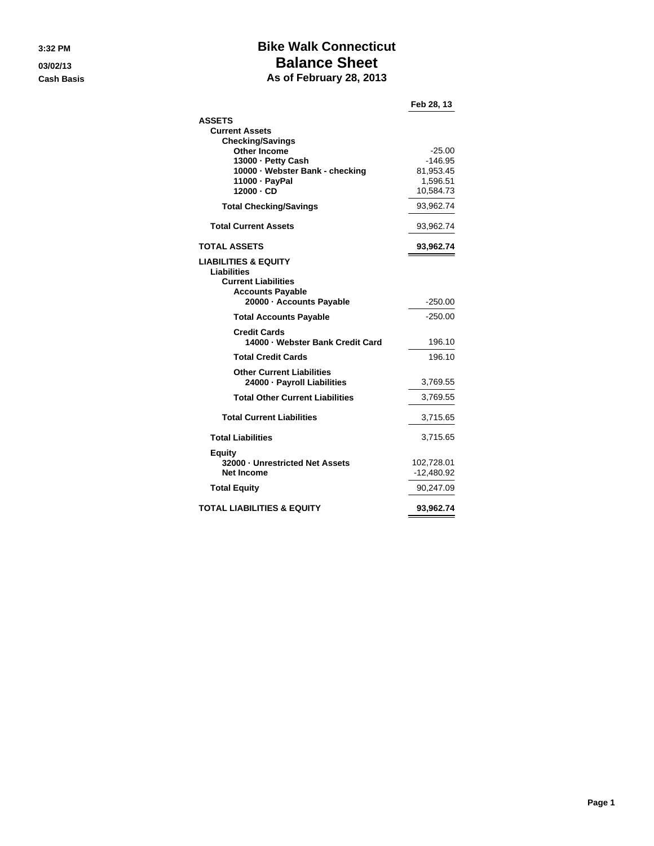# **3:32 PM Bike Walk Connecticut 03/02/13 Balance Sheet**

**Cash Basis As of February 28, 2013**

|                                        | Feb 28, 13   |
|----------------------------------------|--------------|
| <b>ASSETS</b>                          |              |
| <b>Current Assets</b>                  |              |
| <b>Checking/Savings</b>                |              |
| <b>Other Income</b>                    | $-25.00$     |
| 13000 - Petty Cash                     | $-146.95$    |
| 10000 - Webster Bank - checking        | 81,953.45    |
| 11000 - PayPal                         | 1,596.51     |
| $12000 \cdot CD$                       | 10,584.73    |
| <b>Total Checking/Savings</b>          | 93,962.74    |
| <b>Total Current Assets</b>            | 93,962.74    |
| TOTAL ASSETS                           | 93,962.74    |
| <b>LIABILITIES &amp; EQUITY</b>        |              |
| Liabilities                            |              |
| <b>Current Liabilities</b>             |              |
| <b>Accounts Payable</b>                |              |
| 20000 - Accounts Payable               | $-250.00$    |
| <b>Total Accounts Payable</b>          | $-250.00$    |
| <b>Credit Cards</b>                    |              |
| 14000 - Webster Bank Credit Card       | 196.10       |
| <b>Total Credit Cards</b>              | 196.10       |
| <b>Other Current Liabilities</b>       |              |
| 24000 - Payroll Liabilities            | 3,769.55     |
| <b>Total Other Current Liabilities</b> | 3,769.55     |
| <b>Total Current Liabilities</b>       | 3,715.65     |
| <b>Total Liabilities</b>               | 3,715.65     |
| <b>Equity</b>                          |              |
| 32000 - Unrestricted Net Assets        | 102,728.01   |
| Net Income                             | $-12,480.92$ |
| <b>Total Equity</b>                    | 90,247.09    |
|                                        |              |
| <b>TOTAL LIABILITIES &amp; EQUITY</b>  | 93,962.74    |